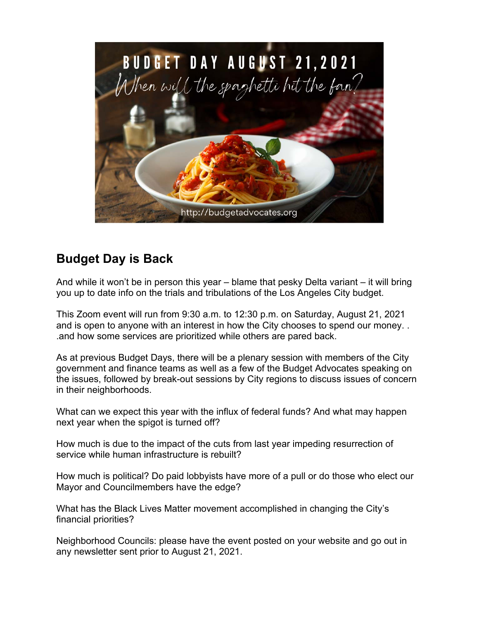

## **Budget Day is Back**

And while it won't be in person this year – blame that pesky Delta variant – it will bring you up to date info on the trials and tribulations of the Los Angeles City budget.

This Zoom event will run from 9:30 a.m. to 12:30 p.m. on Saturday, August 21, 2021 and is open to anyone with an interest in how the City chooses to spend our money. . .and how some services are prioritized while others are pared back.

As at previous Budget Days, there will be a plenary session with members of the City government and finance teams as well as a few of the Budget Advocates speaking on the issues, followed by break-out sessions by City regions to discuss issues of concern in their neighborhoods.

What can we expect this year with the influx of federal funds? And what may happen next year when the spigot is turned off?

How much is due to the impact of the cuts from last year impeding resurrection of service while human infrastructure is rebuilt?

How much is political? Do paid lobbyists have more of a pull or do those who elect our Mayor and Councilmembers have the edge?

What has the Black Lives Matter movement accomplished in changing the City's financial priorities?

Neighborhood Councils: please have the event posted on your website and go out in any newsletter sent prior to August 21, 2021.